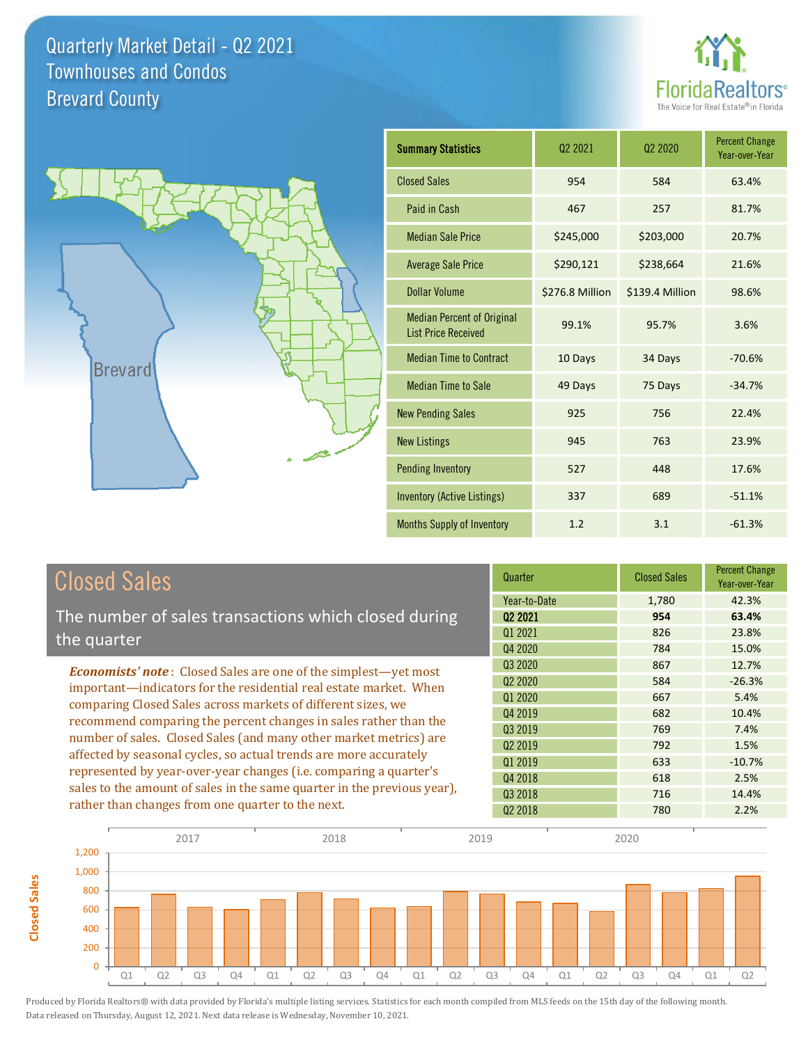



**Closed Sales**

**Closed Sales** 

| <b>Summary Statistics</b>                                       | 02 2021         | 02 2020         | <b>Percent Change</b><br>Year-over-Year |
|-----------------------------------------------------------------|-----------------|-----------------|-----------------------------------------|
| <b>Closed Sales</b>                                             | 954             | 584             | 63.4%                                   |
| Paid in Cash                                                    | 467             | 257             | 81.7%                                   |
| <b>Median Sale Price</b>                                        | \$245,000       | \$203,000       | 20.7%                                   |
| <b>Average Sale Price</b>                                       | \$290,121       | \$238,664       | 21.6%                                   |
| Dollar Volume                                                   | \$276.8 Million | \$139.4 Million | 98.6%                                   |
| <b>Median Percent of Original</b><br><b>List Price Received</b> | 99.1%           | 95.7%           | 3.6%                                    |
| <b>Median Time to Contract</b>                                  | 10 Days         | 34 Days         | $-70.6%$                                |
| <b>Median Time to Sale</b>                                      | 49 Days         | 75 Days         | $-34.7%$                                |
| <b>New Pending Sales</b>                                        | 925             | 756             | 22.4%                                   |
| <b>New Listings</b>                                             | 945             | 763             | 23.9%                                   |
| <b>Pending Inventory</b>                                        | 527             | 448             | 17.6%                                   |
| <b>Inventory (Active Listings)</b>                              | 337             | 689             | $-51.1%$                                |
| Months Supply of Inventory                                      | 1.2             | 3.1             | $-61.3%$                                |

| <b>Closed Sales</b>                                                                                                                                                                                                                                                                                                                                                                                                  | Quarter             | <b>Closed Sales</b> | <b>Percent Change</b><br>Year-over-Year |
|----------------------------------------------------------------------------------------------------------------------------------------------------------------------------------------------------------------------------------------------------------------------------------------------------------------------------------------------------------------------------------------------------------------------|---------------------|---------------------|-----------------------------------------|
|                                                                                                                                                                                                                                                                                                                                                                                                                      | Year-to-Date        | 1,780               | 42.3%                                   |
| The number of sales transactions which closed during                                                                                                                                                                                                                                                                                                                                                                 | Q <sub>2</sub> 2021 | 954                 | 63.4%                                   |
| the quarter                                                                                                                                                                                                                                                                                                                                                                                                          | 01 2021             | 826                 | 23.8%                                   |
|                                                                                                                                                                                                                                                                                                                                                                                                                      | Q4 2020             | 784                 | 15.0%                                   |
| <b>Economists' note:</b> Closed Sales are one of the simplest—yet most                                                                                                                                                                                                                                                                                                                                               | Q3 2020             | 867                 | 12.7%                                   |
| important—indicators for the residential real estate market. When<br>comparing Closed Sales across markets of different sizes, we<br>recommend comparing the percent changes in sales rather than the<br>number of sales. Closed Sales (and many other market metrics) are<br>affected by seasonal cycles, so actual trends are more accurately<br>represented by year-over-year changes (i.e. comparing a quarter's | Q <sub>2</sub> 2020 | 584                 | $-26.3%$                                |
|                                                                                                                                                                                                                                                                                                                                                                                                                      | 01 2020             | 667                 | 5.4%                                    |
|                                                                                                                                                                                                                                                                                                                                                                                                                      | Q4 2019             | 682                 | 10.4%                                   |
|                                                                                                                                                                                                                                                                                                                                                                                                                      | Q3 2019             | 769                 | 7.4%                                    |
|                                                                                                                                                                                                                                                                                                                                                                                                                      | 02 2019             | 792                 | 1.5%                                    |
|                                                                                                                                                                                                                                                                                                                                                                                                                      | Q1 2019             | 633                 | $-10.7%$                                |
|                                                                                                                                                                                                                                                                                                                                                                                                                      | Q4 2018             | 618                 | 2.5%                                    |
| sales to the amount of sales in the same quarter in the previous year),                                                                                                                                                                                                                                                                                                                                              | 03 2018             | 716                 | 14.4%                                   |
| rather than changes from one quarter to the next.                                                                                                                                                                                                                                                                                                                                                                    | 02 2018             | 780                 | 2.2%                                    |

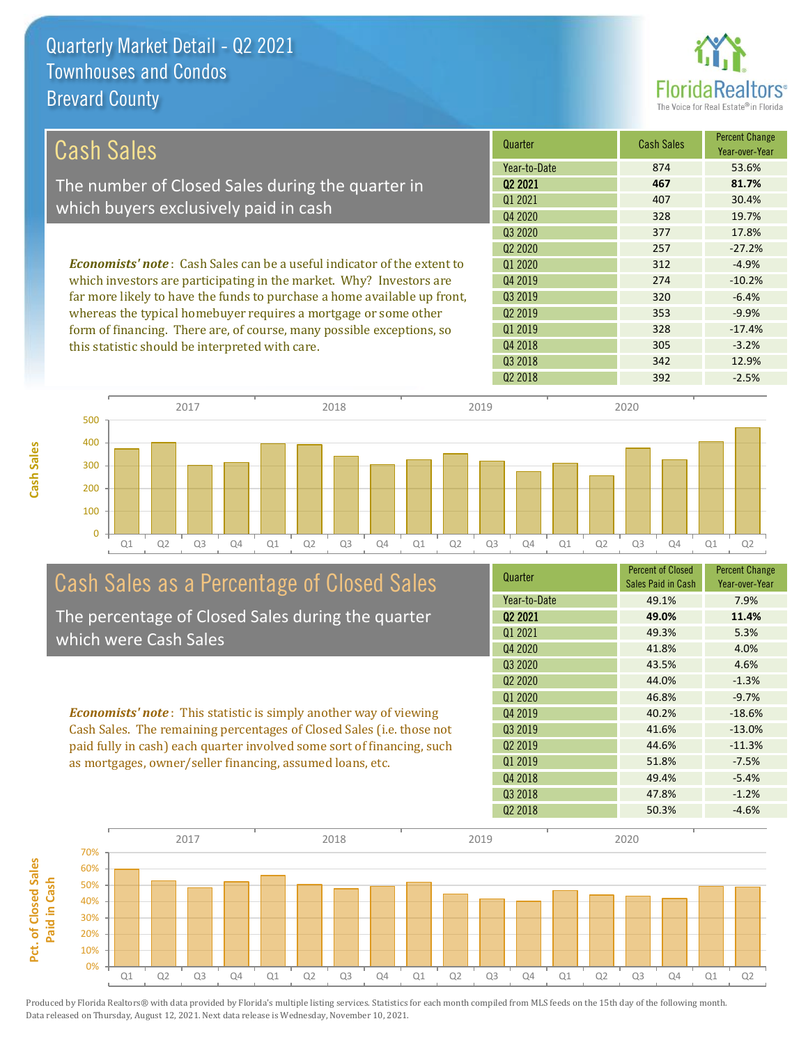

| Cash Sales                                                                     | Quarter             | <b>Cash Sales</b> | <b>Percent Change</b><br>Year-over-Year |
|--------------------------------------------------------------------------------|---------------------|-------------------|-----------------------------------------|
|                                                                                | Year-to-Date        | 874               | 53.6%                                   |
| The number of Closed Sales during the quarter in                               | 02 2021             | 467               | 81.7%                                   |
|                                                                                | 01 2021             | 407               | 30.4%                                   |
| which buyers exclusively paid in cash                                          | Q4 2020             | 328               | 19.7%                                   |
|                                                                                | Q3 2020             | 377               | 17.8%                                   |
|                                                                                | 02 2020             | 257               | $-27.2%$                                |
| <b>Economists' note:</b> Cash Sales can be a useful indicator of the extent to | Q1 2020             | 312               | $-4.9%$                                 |
| which investors are participating in the market. Why? Investors are            | Q4 2019             | 274               | $-10.2%$                                |
| far more likely to have the funds to purchase a home available up front,       | Q3 2019             | 320               | $-6.4%$                                 |
| whereas the typical homebuyer requires a mortgage or some other                | Q <sub>2</sub> 2019 | 353               | $-9.9%$                                 |
| form of financing. There are, of course, many possible exceptions, so          | Q1 2019             | 328               | $-17.4%$                                |
| this statistic should be interpreted with care.                                | Q4 2018             | 305               | $-3.2%$                                 |
|                                                                                | Q3 2018             | 342               | 12.9%                                   |



# Cash Sales as a Percentage of Closed Sales

The percentage of Closed Sales during the quarter which were Cash Sales

*Economists' note* : This statistic is simply another way of viewing Cash Sales. The remaining percentages of Closed Sales (i.e. those not paid fully in cash) each quarter involved some sort of financing, such as mortgages, owner/seller financing, assumed loans, etc.



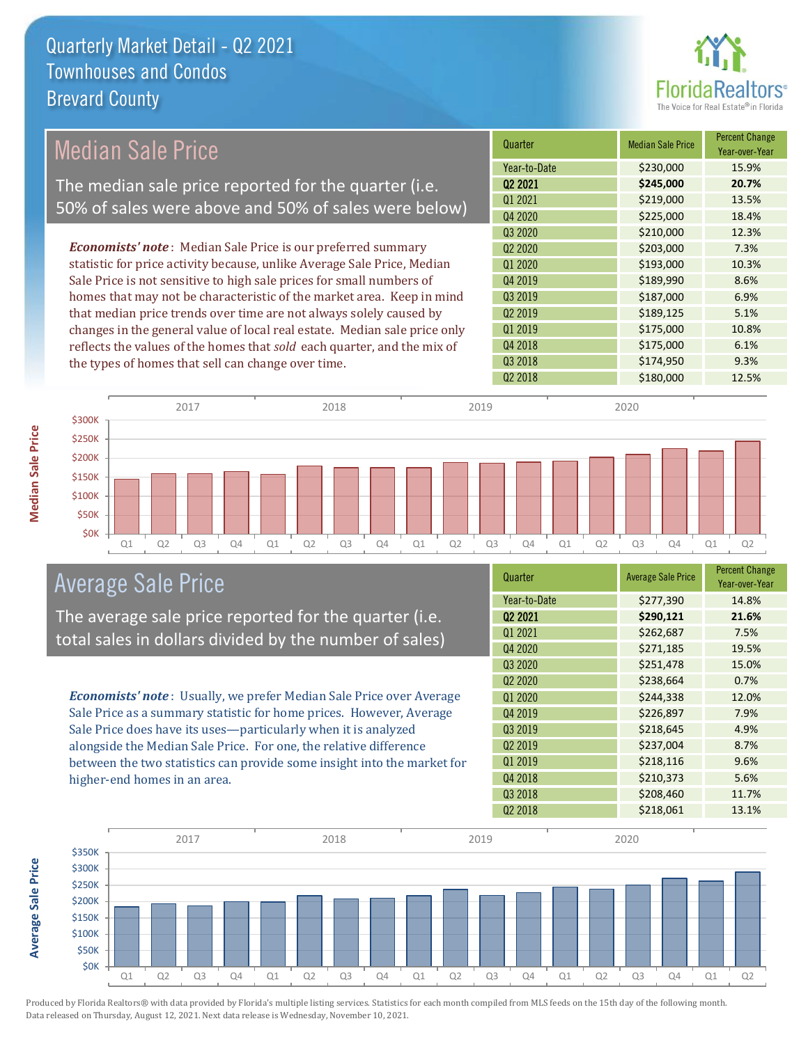

## Median Sale Price

The median sale price reported for the quarter (i.e. 50% of sales were above and 50% of sales were below)

*Economists' note* : Median Sale Price is our preferred summary statistic for price activity because, unlike Average Sale Price, Median Sale Price is not sensitive to high sale prices for small numbers of homes that may not be characteristic of the market area. Keep in mind that median price trends over time are not always solely caused by changes in the general value of local real estate. Median sale price only reflects the values of the homes that *sold* each quarter, and the mix of the types of homes that sell can change over time.

| Quarter                         | <b>Median Sale Price</b> | <b>Percent Change</b><br>Year-over-Year |
|---------------------------------|--------------------------|-----------------------------------------|
| Year-to-Date                    | \$230,000                | 15.9%                                   |
| Q <sub>2</sub> 2021             | \$245,000                | 20.7%                                   |
| Q1 2021                         | \$219,000                | 13.5%                                   |
| Q4 2020                         | \$225,000                | 18.4%                                   |
| Q3 2020                         | \$210,000                | 12.3%                                   |
| Q <sub>2</sub> 20 <sub>20</sub> | \$203,000                | 7.3%                                    |
| Q1 2020                         | \$193,000                | 10.3%                                   |
| Q4 2019                         | \$189,990                | 8.6%                                    |
| Q3 2019                         | \$187,000                | 6.9%                                    |
| Q <sub>2</sub> 2019             | \$189,125                | 5.1%                                    |
| Q1 2019                         | \$175,000                | 10.8%                                   |
| Q4 2018                         | \$175,000                | 6.1%                                    |
| Q3 2018                         | \$174,950                | 9.3%                                    |
| Q <sub>2</sub> 2018             | \$180,000                | 12.5%                                   |
|                                 |                          |                                         |



#### Average Sale Price

The average sale price reported for the quarter (i.e. total sales in dollars divided by the number of sales)

*Economists' note* : Usually, we prefer Median Sale Price over Average Sale Price as a summary statistic for home prices. However, Average Sale Price does have its uses—particularly when it is analyzed alongside the Median Sale Price. For one, the relative difference between the two statistics can provide some insight into the market for higher-end homes in an area.

| Quarter                         | <b>Average Sale Price</b> | <b>Percent Change</b><br>Year-over-Year |
|---------------------------------|---------------------------|-----------------------------------------|
| Year-to-Date                    | \$277,390                 | 14.8%                                   |
| Q <sub>2</sub> 2021             | \$290,121                 | 21.6%                                   |
| Q1 2021                         | \$262,687                 | 7.5%                                    |
| Q4 2020                         | \$271,185                 | 19.5%                                   |
| Q3 2020                         | \$251,478                 | 15.0%                                   |
| Q <sub>2</sub> 20 <sub>20</sub> | \$238,664                 | 0.7%                                    |
| Q1 2020                         | \$244,338                 | 12.0%                                   |
| Q4 2019                         | \$226,897                 | 7.9%                                    |
| Q3 2019                         | \$218,645                 | 4.9%                                    |
| Q <sub>2</sub> 2019             | \$237,004                 | 8.7%                                    |
| Q1 2019                         | \$218,116                 | 9.6%                                    |
| Q4 2018                         | \$210,373                 | 5.6%                                    |
| Q3 2018                         | \$208,460                 | 11.7%                                   |
| Q <sub>2</sub> 2018             | \$218,061                 | 13.1%                                   |



**Average Sale Price**

**Average Sale Price**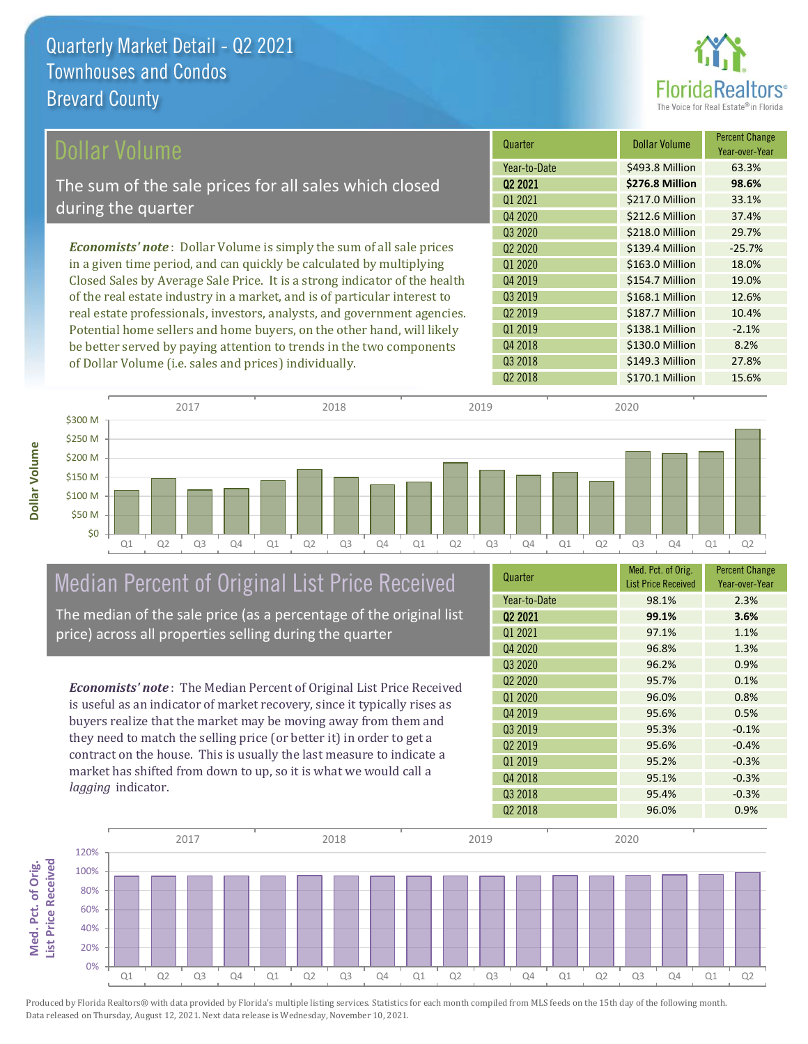

| Dollar Volume                                                                | Quarter             | <b>Dollar Volume</b> | <b>Percent Change</b><br>Year-over-Year |
|------------------------------------------------------------------------------|---------------------|----------------------|-----------------------------------------|
|                                                                              | Year-to-Date        | \$493.8 Million      | 63.3%                                   |
| The sum of the sale prices for all sales which closed                        | Q <sub>2</sub> 2021 | \$276.8 Million      | 98.6%                                   |
| during the quarter                                                           | 01 2021             | \$217.0 Million      | 33.1%                                   |
|                                                                              | Q4 2020             | \$212.6 Million      | 37.4%                                   |
|                                                                              | Q3 2020             | \$218.0 Million      | 29.7%                                   |
| <b>Economists' note</b> : Dollar Volume is simply the sum of all sale prices | 02 2020             | \$139.4 Million      | $-25.7%$                                |
| in a given time period, and can quickly be calculated by multiplying         | Q1 2020             | \$163.0 Million      | 18.0%                                   |
| Closed Sales by Average Sale Price. It is a strong indicator of the health   | Q4 2019             | \$154.7 Million      | 19.0%                                   |
| of the real estate industry in a market, and is of particular interest to    | 03 2019             | \$168.1 Million      | 12.6%                                   |
| real estate professionals, investors, analysts, and government agencies.     | Q <sub>2</sub> 2019 | \$187.7 Million      | 10.4%                                   |
| Potential home sellers and home buyers, on the other hand, will likely       | Q1 2019             | \$138.1 Million      | $-2.1%$                                 |
| be better served by paying attention to trends in the two components         | Q4 2018             | \$130.0 Million      | 8.2%                                    |

Q1 Q2 Q3 Q4 Q1 Q2 Q3 Q4 Q1 Q2 Q3 Q4 Q1 Q2 Q3 Q4 Q1 Q2 \$0 \$50 M \$100 M \$150 M \$200 M \$250 M \$300 M 2017 2018 2019 2020

# Median Percent of Original List Price Received

of Dollar Volume (i.e. sales and prices) individually.

The median of the sale price (as a percentage of the original list price) across all properties selling during the quarter

*Economists' note* : The Median Percent of Original List Price Received is useful as an indicator of market recovery, since it typically rises as buyers realize that the market may be moving away from them and they need to match the selling price (or better it) in order to get a contract on the house. This is usually the last measure to indicate a market has shifted from down to up, so it is what we would call a *lagging* indicator.

| Quarter                         | Med. Pct. of Orig.<br><b>List Price Received</b> | <b>Percent Change</b><br>Year-over-Year |
|---------------------------------|--------------------------------------------------|-----------------------------------------|
| Year-to-Date                    | 98.1%                                            | 2.3%                                    |
| 02 2021                         | 99.1%                                            | 3.6%                                    |
| Q1 2021                         | 97.1%                                            | 1.1%                                    |
| Q4 2020                         | 96.8%                                            | 1.3%                                    |
| Q <sub>3</sub> 2020             | 96.2%                                            | 0.9%                                    |
| Q <sub>2</sub> 20 <sub>20</sub> | 95.7%                                            | 0.1%                                    |
| Q1 2020                         | 96.0%                                            | 0.8%                                    |
| Q4 2019                         | 95.6%                                            | 0.5%                                    |
| Q3 2019                         | 95.3%                                            | $-0.1%$                                 |
| Q <sub>2</sub> 2019             | 95.6%                                            | $-0.4%$                                 |
| 01 2019                         | 95.2%                                            | $-0.3%$                                 |
| Q4 2018                         | 95.1%                                            | $-0.3%$                                 |
| Q3 2018                         | 95.4%                                            | $-0.3%$                                 |
| Q <sub>2</sub> 2018             | 96.0%                                            | 0.9%                                    |

Q2 2018 **\$170.1 Million** 15.6%

Q3 2018 **\$149.3 Million** 27.8%



**Dollar Volume**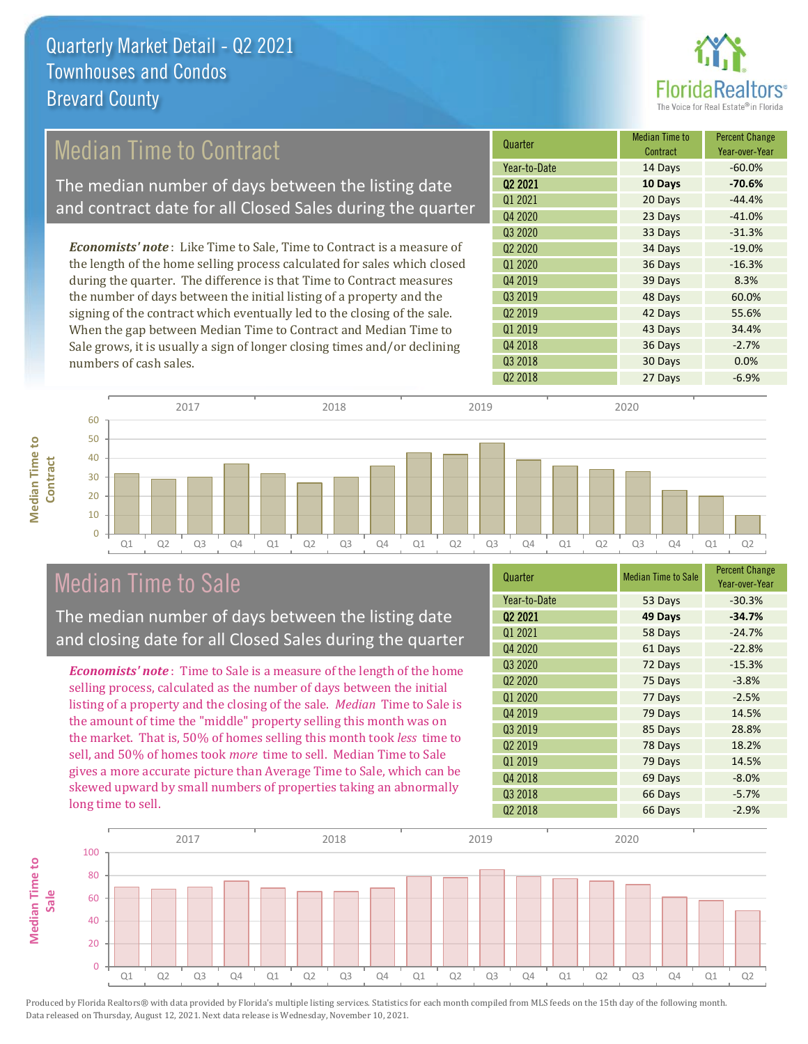

## Median Time to Contract

The median number of days between the listing date and contract date for all Closed Sales during the quarter

*Economists' note* : Like Time to Sale, Time to Contract is a measure of the length of the home selling process calculated for sales which closed during the quarter. The difference is that Time to Contract measures the number of days between the initial listing of a property and the signing of the contract which eventually led to the closing of the sale. When the gap between Median Time to Contract and Median Time to Sale grows, it is usually a sign of longer closing times and/or declining numbers of cash sales.



Q1 Q2 Q3 Q4 Q1 Q2 Q3 Q4 Q1 Q2 Q3 Q4 Q1 Q2 Q3 Q4 Q1 Q2  $\Omega$ 10 20 30 40 50 60 **Contract** 2017 2018 2019 2020

#### Median Time to Sale

**Median Time to** 

**Median Time to** 

The median number of days between the listing date and closing date for all Closed Sales during the quarter

*Economists' note* : Time to Sale is a measure of the length of the home selling process, calculated as the number of days between the initial listing of a property and the closing of the sale. *Median* Time to Sale is the amount of time the "middle" property selling this month was on the market. That is, 50% of homes selling this month took *less* time to sell, and 50% of homes took *more* time to sell. Median Time to Sale gives a more accurate picture than Average Time to Sale, which can be skewed upward by small numbers of properties taking an abnormally long time to sell.

| Quarter                         | <b>Median Time to Sale</b> | <b>Percent Change</b><br>Year-over-Year |
|---------------------------------|----------------------------|-----------------------------------------|
| Year-to-Date                    | 53 Days                    | $-30.3%$                                |
| Q <sub>2</sub> 2021             | 49 Days                    | $-34.7%$                                |
| Q1 2021                         | 58 Days                    | $-24.7%$                                |
| Q4 2020                         | 61 Days                    | $-22.8%$                                |
| Q3 2020                         | 72 Days                    | $-15.3%$                                |
| Q <sub>2</sub> 20 <sub>20</sub> | 75 Days                    | $-3.8%$                                 |
| Q1 2020                         | 77 Days                    | $-2.5%$                                 |
| Q4 2019                         | 79 Days                    | 14.5%                                   |
| Q3 2019                         | 85 Days                    | 28.8%                                   |
| Q2 2019                         | 78 Days                    | 18.2%                                   |
| Q1 2019                         | 79 Days                    | 14.5%                                   |
| Q4 2018                         | 69 Days                    | $-8.0%$                                 |
| Q3 2018                         | 66 Days                    | $-5.7%$                                 |
| Q <sub>2</sub> 2018             | 66 Days                    | $-2.9%$                                 |

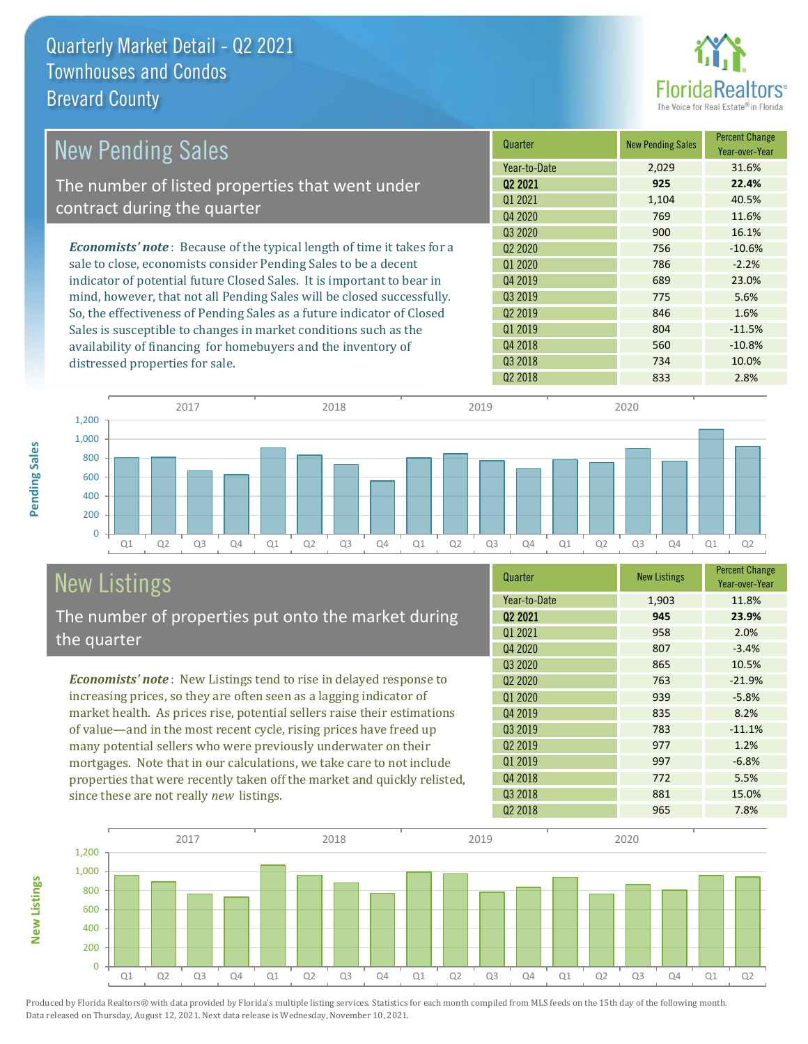

| <b>New Pending Sales</b>                                                      | Quarter             | <b>New Pending Sales</b> | <b>Percent Change</b><br>Year-over-Year |
|-------------------------------------------------------------------------------|---------------------|--------------------------|-----------------------------------------|
|                                                                               | Year-to-Date        | 2,029                    | 31.6%                                   |
| The number of listed properties that went under                               | 02 2021             | 925                      | 22.4%                                   |
|                                                                               | Q1 2021             | 1,104                    | 40.5%                                   |
| contract during the quarter                                                   | Q4 2020             | 769                      | 11.6%                                   |
|                                                                               | Q3 2020             | 900                      | 16.1%                                   |
| <b>Economists' note:</b> Because of the typical length of time it takes for a | 02 2020             | 756                      | $-10.6%$                                |
| sale to close, economists consider Pending Sales to be a decent               | Q1 2020             | 786                      | $-2.2%$                                 |
| indicator of potential future Closed Sales. It is important to bear in        | Q4 2019             | 689                      | 23.0%                                   |
| mind, however, that not all Pending Sales will be closed successfully.        | 03 2019             | 775                      | 5.6%                                    |
| So, the effectiveness of Pending Sales as a future indicator of Closed        | Q <sub>2</sub> 2019 | 846                      | 1.6%                                    |
| Sales is susceptible to changes in market conditions such as the              | Q1 2019             | 804                      | $-11.5%$                                |
| availability of financing for homebuyers and the inventory of                 | Q4 2018             | 560                      | $-10.8%$                                |
| distressed properties for sale.                                               | Q3 2018             | 734                      | 10.0%                                   |



# New Listings

**New Listings**

**Pending Sales**

Pending Sales

The number of properties put onto the market during the quarter

*Economists' note* : New Listings tend to rise in delayed response to increasing prices, so they are often seen as a lagging indicator of market health. As prices rise, potential sellers raise their estimations of value—and in the most recent cycle, rising prices have freed up many potential sellers who were previously underwater on their mortgages. Note that in our calculations, we take care to not include properties that were recently taken off the market and quickly relisted, since these are not really *new* listings.

| Quarter                         | <b>New Listings</b> | <b>Percent Change</b><br>Year-over-Year |
|---------------------------------|---------------------|-----------------------------------------|
| Year-to-Date                    | 1,903               | 11.8%                                   |
| 02 2021                         | 945                 | 23.9%                                   |
| Q1 2021                         | 958                 | 2.0%                                    |
| Q4 2020                         | 807                 | $-3.4%$                                 |
| Q3 2020                         | 865                 | 10.5%                                   |
| Q <sub>2</sub> 20 <sub>20</sub> | 763                 | $-21.9%$                                |
| Q1 2020                         | 939                 | $-5.8%$                                 |
| Q4 2019                         | 835                 | 8.2%                                    |
| Q3 2019                         | 783                 | $-11.1%$                                |
| Q <sub>2</sub> 2019             | 977                 | 1.2%                                    |
| Q1 2019                         | 997                 | $-6.8%$                                 |
| Q4 2018                         | 772                 | 5.5%                                    |
| Q3 2018                         | 881                 | 15.0%                                   |
| Q <sub>2</sub> 2018             | 965                 | 7.8%                                    |

Q2 2018 2.8%

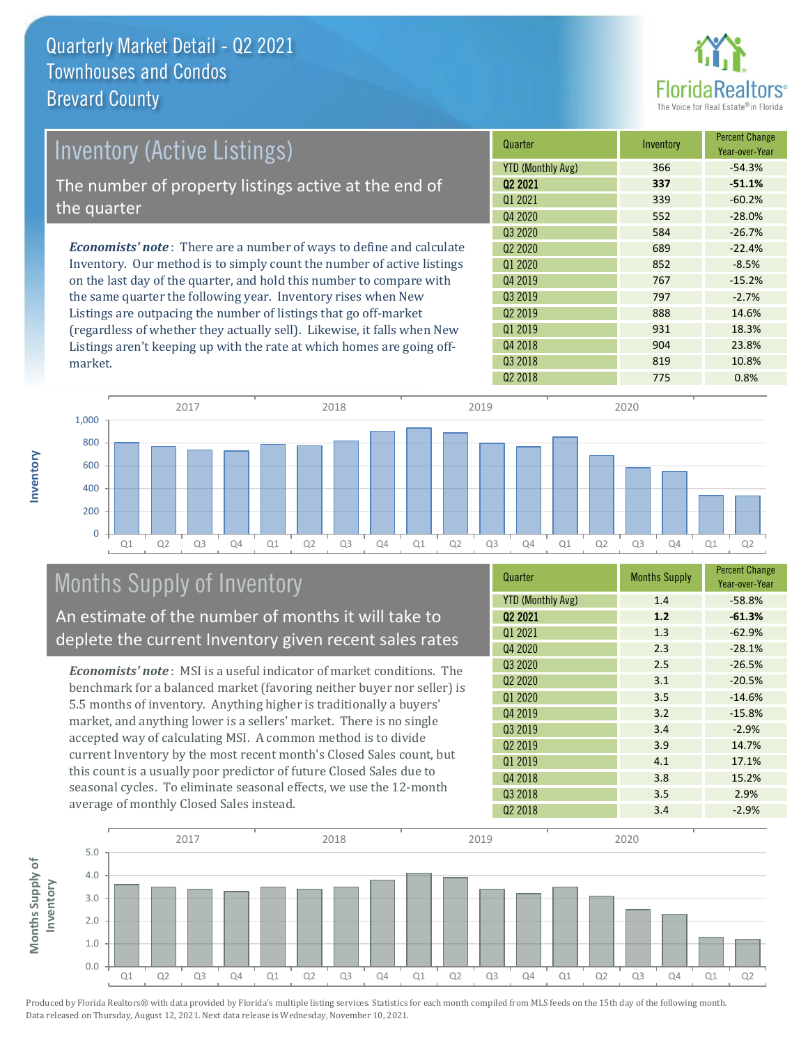

| Inventory (Active Listings)                                                                           | Quarter                         | Inventory | <b>Percent Change</b><br>Year-over-Year |
|-------------------------------------------------------------------------------------------------------|---------------------------------|-----------|-----------------------------------------|
|                                                                                                       | <b>YTD (Monthly Avg)</b>        | 366       | $-54.3%$                                |
| The number of property listings active at the end of                                                  | 02 2021                         | 337       | $-51.1%$                                |
| the quarter                                                                                           | Q1 2021                         | 339       | $-60.2%$                                |
|                                                                                                       | Q4 2020                         | 552       | $-28.0%$                                |
|                                                                                                       | Q3 2020                         | 584       | $-26.7%$                                |
| <b>Economists' note</b> : There are a number of ways to define and calculate                          | Q <sub>2</sub> 20 <sub>20</sub> | 689       | $-22.4%$                                |
| Inventory. Our method is to simply count the number of active listings                                | Q1 2020                         | 852       | $-8.5%$                                 |
| on the last day of the quarter, and hold this number to compare with                                  | Q4 2019                         | 767       | $-15.2%$                                |
| the same quarter the following year. Inventory rises when New                                         | Q3 2019                         | 797       | $-2.7%$                                 |
| Listings are outpacing the number of listings that go off-market                                      | Q <sub>2</sub> 2019             | 888       | 14.6%                                   |
| $\ell = 0$ , $\ell = 0$ , $\ell = 0$ , $\ell = 0$ , $\ell = 0$ , $\ell = 0$ , $\ell = 0$ , $\ell = 0$ | 01.0010                         | 021       | 10.20                                   |

(regardless of whether they actually sell). Likewise, it falls when New Listings aren't keeping up with the rate at which homes are going offmarket.





## Months Supply of Inventory

An estimate of the number of months it will take to deplete the current Inventory given recent sales rates

*Economists' note* : MSI is a useful indicator of market conditions. The benchmark for a balanced market (favoring neither buyer nor seller) is 5.5 months of inventory. Anything higher is traditionally a buyers' market, and anything lower is a sellers' market. There is no single accepted way of calculating MSI. A common method is to divide current Inventory by the most recent month's Closed Sales count, but this count is a usually poor predictor of future Closed Sales due to seasonal cycles. To eliminate seasonal effects, we use the 12-month average of monthly Closed Sales instead.

| Quarter                         | <b>Months Supply</b> | <b>Percent Change</b><br>Year-over-Year |
|---------------------------------|----------------------|-----------------------------------------|
| <b>YTD (Monthly Avg)</b>        | 1.4                  | $-58.8%$                                |
| Q <sub>2</sub> 2021             | 1.2                  | $-61.3%$                                |
| Q1 2021                         | 1.3                  | $-62.9%$                                |
| Q4 2020                         | 2.3                  | $-28.1%$                                |
| Q3 2020                         | 2.5                  | $-26.5%$                                |
| Q <sub>2</sub> 20 <sub>20</sub> | 3.1                  | $-20.5%$                                |
| Q1 2020                         | 3.5                  | $-14.6%$                                |
| Q4 2019                         | 3.2                  | $-15.8%$                                |
| Q3 2019                         | 3.4                  | $-2.9%$                                 |
| Q <sub>2</sub> 2019             | 3.9                  | 14.7%                                   |
| Q1 2019                         | 4.1                  | 17.1%                                   |
| Q4 2018                         | 3.8                  | 15.2%                                   |
| Q3 2018                         | 3.5                  | 2.9%                                    |
| 02 2018                         | 3.4                  | $-2.9%$                                 |

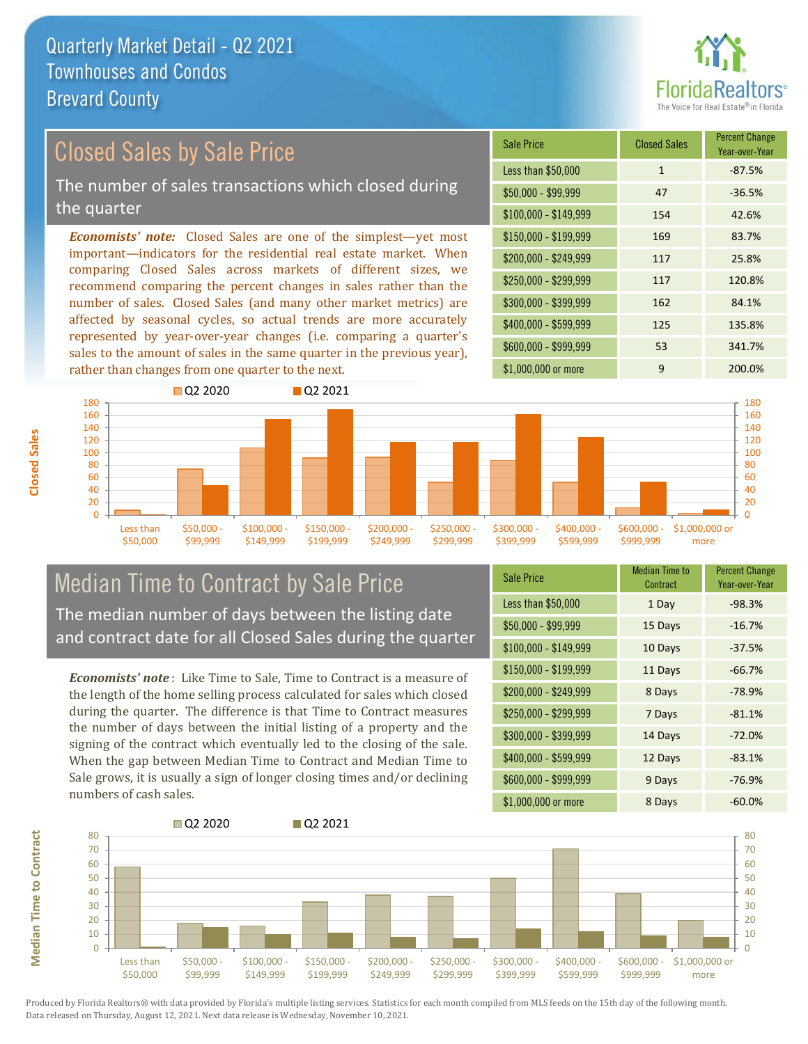

#### *Economists' note:* Closed Sales are one of the simplest—yet most important—indicators for the residential real estate market. When comparing Closed Sales across markets of different sizes, we recommend comparing the percent changes in sales rather than the Closed Sales by Sale Price The number of sales transactions which closed during the quarter

number of sales. Closed Sales (and many other market metrics) are affected by seasonal cycles, so actual trends are more accurately represented by year-over-year changes (i.e. comparing a quarter's sales to the amount of sales in the same quarter in the previous year), rather than changes from one quarter to the next.

| Sale Price            | <b>Closed Sales</b> | <b>Percent Change</b><br>Year-over-Year |
|-----------------------|---------------------|-----------------------------------------|
| Less than \$50,000    | $\mathbf{1}$        | $-87.5%$                                |
| $$50,000 - $99,999$   | 47                  | $-36.5%$                                |
| $$100,000 - $149,999$ | 154                 | 42.6%                                   |
| $$150,000 - $199,999$ | 169                 | 83.7%                                   |
| \$200,000 - \$249,999 | 117                 | 25.8%                                   |
| \$250,000 - \$299,999 | 117                 | 120.8%                                  |
| \$300,000 - \$399,999 | 162                 | 84.1%                                   |
| \$400,000 - \$599,999 | 125                 | 135.8%                                  |
| \$600,000 - \$999,999 | 53                  | 341.7%                                  |
| \$1,000,000 or more   | 9                   | 200.0%                                  |



#### Median Time to Contract by Sale Price The median number of days between the listing date and contract date for all Closed Sales during the quarter

*Economists' note* : Like Time to Sale, Time to Contract is a measure of the length of the home selling process calculated for sales which closed during the quarter. The difference is that Time to Contract measures the number of days between the initial listing of a property and the signing of the contract which eventually led to the closing of the sale. When the gap between Median Time to Contract and Median Time to Sale grows, it is usually a sign of longer closing times and/or declining numbers of cash sales.

| <b>Sale Price</b>     | Median Time to<br>Contract | <b>Percent Change</b><br>Year-over-Year |
|-----------------------|----------------------------|-----------------------------------------|
| Less than \$50,000    | 1 Day                      | $-98.3%$                                |
| $$50,000 - $99,999$   | 15 Days                    | $-16.7%$                                |
| $$100,000 - $149,999$ | 10 Days                    | $-37.5%$                                |
| $$150,000 - $199,999$ | 11 Days                    | $-66.7%$                                |
| \$200,000 - \$249,999 | 8 Days                     | $-78.9%$                                |
| \$250,000 - \$299,999 | 7 Days                     | $-81.1%$                                |
| \$300,000 - \$399,999 | 14 Days                    | $-72.0%$                                |
| \$400,000 - \$599,999 | 12 Days                    | $-83.1%$                                |
| \$600,000 - \$999,999 | 9 Days                     | $-76.9%$                                |
| \$1,000,000 or more   | 8 Days                     | $-60.0%$                                |

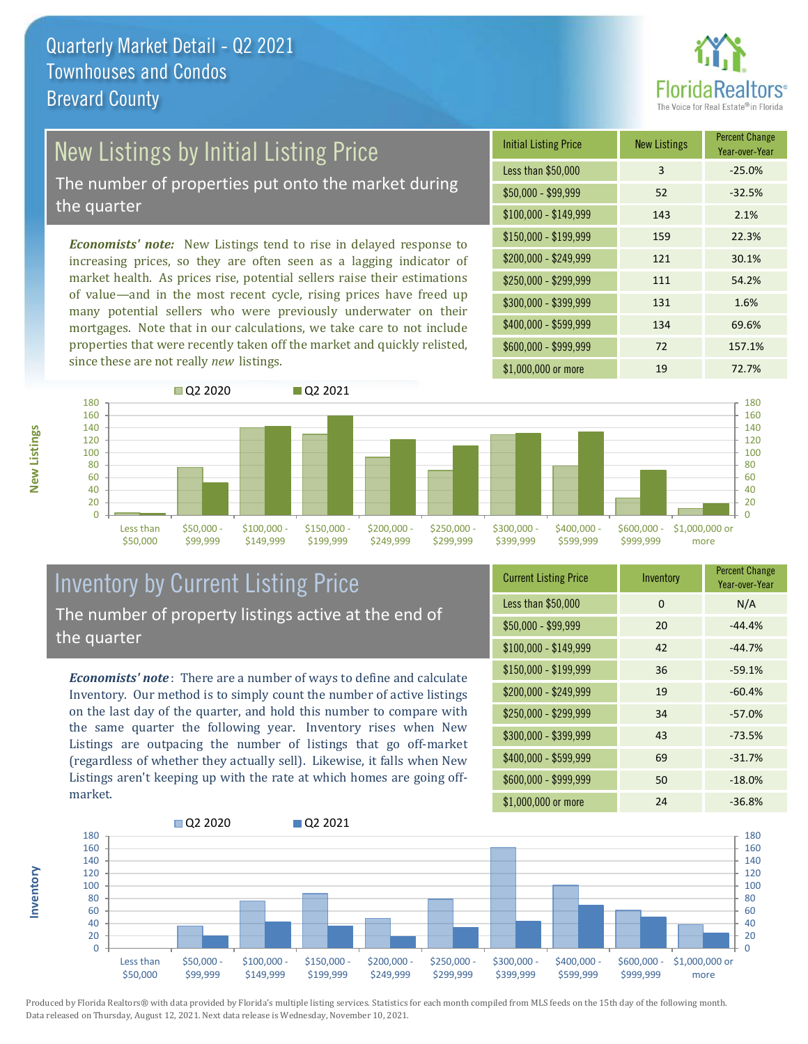

## New Listings by Initial Listing Price

The number of properties put onto the market during the quarter

*Economists' note:* New Listings tend to rise in delayed response to increasing prices, so they are often seen as a lagging indicator of market health. As prices rise, potential sellers raise their estimations of value—and in the most recent cycle, rising prices have freed up many potential sellers who were previously underwater on their mortgages. Note that in our calculations, we take care to not include properties that were recently taken off the market and quickly relisted, since these are not really *new* listings.





#### Inventory by Current Listing Price The number of property listings active at the end of the quarter

*Economists' note* : There are a number of ways to define and calculate Inventory. Our method is to simply count the number of active listings on the last day of the quarter, and hold this number to compare with the same quarter the following year. Inventory rises when New Listings are outpacing the number of listings that go off-market (regardless of whether they actually sell). Likewise, it falls when New Listings aren't keeping up with the rate at which homes are going offmarket.

| <b>Current Listing Price</b> | Inventory | <b>Percent Change</b><br>Year-over-Year |
|------------------------------|-----------|-----------------------------------------|
| Less than \$50,000           | 0         | N/A                                     |
| $$50,000 - $99,999$          | 20        | $-44.4%$                                |
| $$100,000 - $149,999$        | 42        | $-44.7%$                                |
| $$150,000 - $199,999$        | 36        | $-59.1%$                                |
| \$200,000 - \$249,999        | 19        | $-60.4%$                                |
| \$250,000 - \$299,999        | 34        | $-57.0%$                                |
| \$300,000 - \$399,999        | 43        | $-73.5%$                                |
| \$400,000 - \$599,999        | 69        | $-31.7%$                                |
| \$600,000 - \$999,999        | 50        | $-18.0%$                                |
| \$1,000,000 or more          | 24        | $-36.8%$                                |



Produced by Florida Realtors® with data provided by Florida's multiple listing services. Statistics for each month compiled from MLS feeds on the 15th day of the following month. Data released on Thursday, August 12, 2021. Next data release is Wednesday, November 10, 2021.

**Inventory**